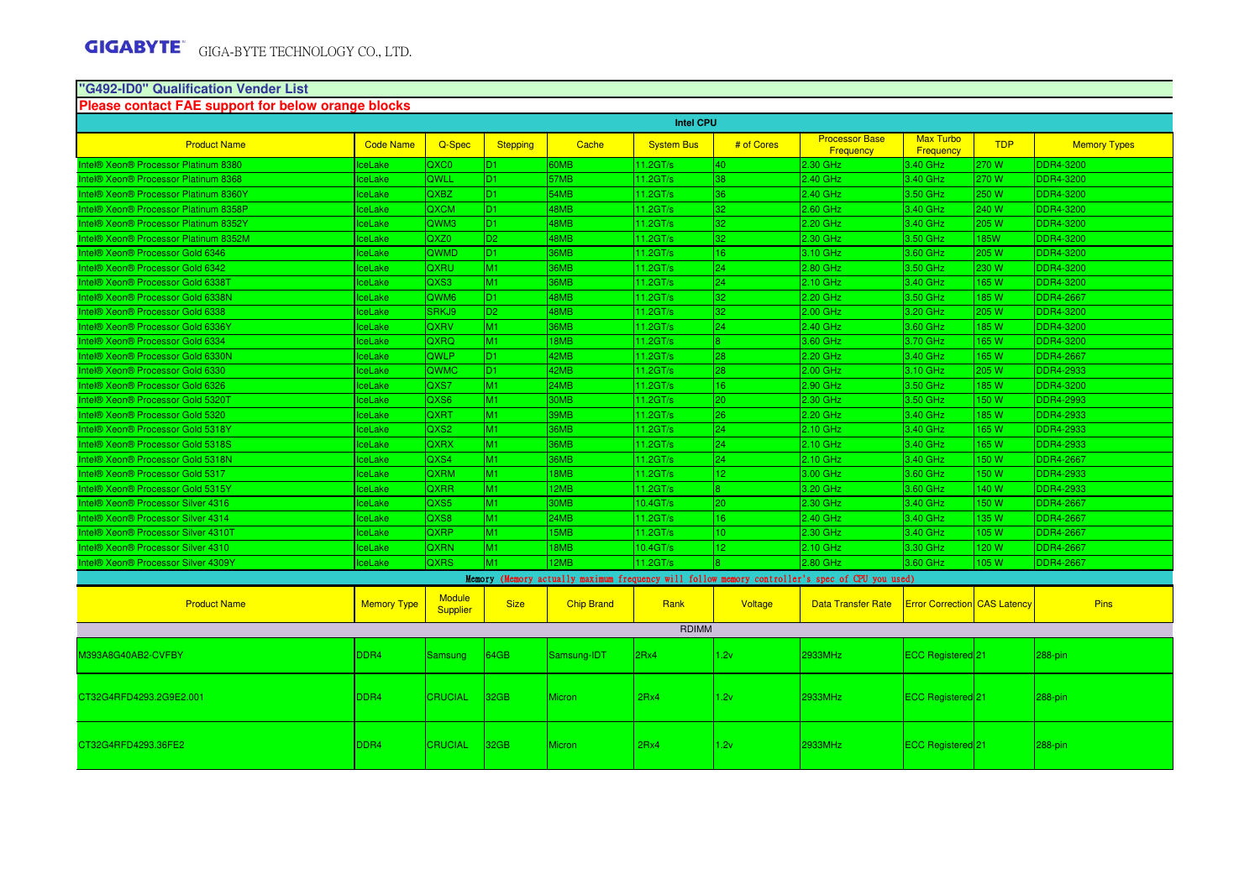# **"G492-ID0" Qualification Vender List Please contact FAE support for below orange blocks**

| <b>Intel CPU</b>                      |                    |                                  |                 |                   |                      |                 |                                                                                                 |                                     |             |                     |
|---------------------------------------|--------------------|----------------------------------|-----------------|-------------------|----------------------|-----------------|-------------------------------------------------------------------------------------------------|-------------------------------------|-------------|---------------------|
| <b>Product Name</b>                   | <b>Code Name</b>   | Q-Spec                           | <b>Stepping</b> | Cache             | <b>System Bus</b>    | # of Cores      | <b>Processor Base</b><br>Frequency                                                              | <b>Max Turbo</b><br>Frequency       | <b>TDP</b>  | <b>Memory Types</b> |
| ntel® Xeon® Processor Platinum 8380   | ceLake             | QXC0                             | D <sub>1</sub>  | 60MB              | 11.2GT/s             | 40.             | 2.30 GHz                                                                                        | 3.40 GHz                            | 270 W       | <b>DDR4-3200</b>    |
| Intel® Xeon® Processor Platinum 8368  | ceLake             | QWLL                             | D <sub>1</sub>  | 57MB              | 11.2GT/s             | 38              | 2.40 GHz                                                                                        | 3.40 GHz                            | 270 W       | <b>DDR4-3200</b>    |
| Intel® Xeon® Processor Platinum 8360Y | <b>IceLake</b>     | <b>QXBZ</b>                      | D1.             | 54MB              | 11.2GT/s             | 36              | 2.40 GHz                                                                                        | 3.50 GHz                            | 250 W       | <b>DDR4-3200</b>    |
| Intel® Xeon® Processor Platinum 8358P | <b>IceLake</b>     | <b>QXCM</b>                      | D <sub>1</sub>  | 48MB              | 11.2GT/s             | 32 <sub>1</sub> | 2.60 GHz                                                                                        | 3.40 GHz                            | 240 W       | <b>DDR4-3200</b>    |
| Intel® Xeon® Processor Platinum 8352Y | <b>IceLake</b>     | QWM3                             | D <sub>1</sub>  | 48MB              | 11.2GT/s             | 32              | 2.20 GHz                                                                                        | 3.40 GHz                            | 205 W       | <b>DDR4-3200</b>    |
| Intel® Xeon® Processor Platinum 8352M | <b>IceLake</b>     | QXZ <sub>0</sub>                 | D <sub>2</sub>  | 48MB              | 11.2GT/s             | 32              | 2.30 GHz                                                                                        | 3.50 GHz                            | <b>85W</b>  | <b>DDR4-3200</b>    |
| Intel® Xeon® Processor Gold 6346      | <b>IceLake</b>     | QWMD                             | D <sub>1</sub>  | 36MB              | 11.2GT/s             | 16              | 3.10 GHz                                                                                        | 3.60 GHz                            | 205 W       | <b>DDR4-3200</b>    |
| Intel® Xeon® Processor Gold 6342      | <b>IceLake</b>     | QXRU                             | M1              | 36MB              | 11.2GT/s             | 24 <sup>°</sup> | 2.80 GHz                                                                                        | 3.50 GHz                            | 230 W       | <b>DDR4-3200</b>    |
| Intel® Xeon® Processor Gold 6338T     | IceLake            | QXS3                             | M1              | 36MB              | 11.2GT/s             | 24              | 2.10 GHz                                                                                        | 3.40 GHz                            | 165W        | <b>DDR4-3200</b>    |
| Intel® Xeon® Processor Gold 6338N     | <b>IceLake</b>     | QWM <sub>6</sub>                 | D <sub>1</sub>  | 48MB              | 11.2GT/s             | 32              | 2.20 GHz                                                                                        | 3.50 GHz                            | <b>85W</b>  | <b>DDR4-2667</b>    |
| Intel® Xeon® Processor Gold 6338      | <b>IceLake</b>     | SRKJ9                            | D <sub>2</sub>  | 48MB              | 11.2GT/s             | 32              | 2.00 GHz                                                                                        | 3.20 GHz                            | 205 W       | <b>DDR4-3200</b>    |
| Intel® Xeon® Processor Gold 6336Y     | IceLake            | <b>QXRV</b>                      | M1              | 36MB              | 11.2GT/s             | 24              | 2.40 GHz                                                                                        | 3.60 GHz                            | 185 W       | <b>DDR4-3200</b>    |
| Intel® Xeon® Processor Gold 6334      | <b>IceLake</b>     | QXRQ                             | M1              | 18MB              | 11.2GT/s             |                 | 3.60 GHz                                                                                        | 3.70 GHz                            | <b>165W</b> | <b>DDR4-3200</b>    |
| Intel® Xeon® Processor Gold 6330N     | <b>IceLake</b>     | <b>QWLP</b>                      | D <sub>1</sub>  | 42MB              | 11.2GT/s             | 28              | 2.20 GHz                                                                                        | 3.40 GHz                            | <b>165W</b> | <b>DDR4-2667</b>    |
| Intel® Xeon® Processor Gold 6330      | IceLake            | <b>QWMC</b>                      | D1.             | 42MB              | 11.2GT/s             | 28              | 2.00 GHz                                                                                        | 3.10 GHz                            | 205 W       | <b>DDR4-2933</b>    |
| Intel® Xeon® Processor Gold 6326      | <b>IceLake</b>     | QXS7                             | M1              | 24MB              | 11.2GT/s             | 16              | 2.90 GHz                                                                                        | 3.50 GHz                            | <b>85W</b>  | <b>DDR4-3200</b>    |
| Intel® Xeon® Processor Gold 5320T     | ceLake             | QXS6                             | M1              | 30MB              | 11.2GT/s             | 20 <sub>1</sub> | 2.30 GHz                                                                                        | 3.50 GHz                            | 50 W        | <b>DDR4-2993</b>    |
| Intel® Xeon® Processor Gold 5320      | IceLake            | QXRT                             | M1              | 39MB              | 11.2GT/s             | 26 <sup>2</sup> | 2.20 GHz                                                                                        | 3.40 GHz                            | 185 W       | <b>DDR4-2933</b>    |
| Intel® Xeon® Processor Gold 5318Y     | <b>IceLake</b>     | QXS2                             | M1              | 36MB              | 11.2GT/s             | 24              | $2.10$ GHz                                                                                      | 3.40 GHz                            | 65 W        | <b>DDR4-2933</b>    |
| Intel® Xeon® Processor Gold 5318S     | ceLake             | <b>QXRX</b>                      | M1              | 36MB              | 11.2GT/s             | 24              | 2.10 GHz                                                                                        | 3.40 GHz                            | <b>165W</b> | <b>DDR4-2933</b>    |
| Intel® Xeon® Processor Gold 5318N     | <b>IceLake</b>     | QXS4                             | M1              | 36MB              | 11.2GT/s             | 24              | $2.10$ GHz                                                                                      | 3.40 GHz                            | 150W        | <b>DDR4-2667</b>    |
| Intel® Xeon® Processor Gold 5317      | <b>IceLake</b>     | <b>QXRM</b>                      | M1              | 18MB              | 11.2GT/s             | 12 <sup>°</sup> | 3.00 GHz                                                                                        | 3.60 GHz                            | 50 W        | <b>DDR4-2933</b>    |
| Intel® Xeon® Processor Gold 5315Y     | ceLake             | <b>QXRR</b>                      | M1              | 12MB              | 11.2GT/s             |                 | 3.20 GHz                                                                                        | 3.60 GHz                            | 40 W        | <b>DDR4-2933</b>    |
| Intel® Xeon® Processor Silver 4316    | IceLake            | QXS5                             | M1              | 30MB              | 10.4 <sub>GT/s</sub> | 20              | 2.30 GHz                                                                                        | 3.40 GHz                            | 150W        | <b>DDR4-2667</b>    |
| Intel® Xeon® Processor Silver 4314    | <b>IceLake</b>     | QXS8                             | M1              | 24MB              | 11.2GT/s             | 16              | 2.40 GHz                                                                                        | 3.40 GHz                            | 135 W       | <b>DDR4-2667</b>    |
| Intel® Xeon® Processor Silver 4310T   | ceLake             | <b>QXRP</b>                      | M1              | 15MB              | 11.2GT/s             | $\overline{0}$  | 2.30 GHz                                                                                        | 3.40 GHz                            | 105W        | <b>DDR4-2667</b>    |
| Intel® Xeon® Processor Silver 4310    | <b>IceLake</b>     | <b>QXRN</b>                      | M1              | 18MB              | 10.4GT/s             | 12.             | $2.10$ GHz                                                                                      | 3.30 GHz                            | 120 W       | <b>DDR4-2667</b>    |
| Intel® Xeon® Processor Silver 4309Y   | <b>IceLake</b>     | <b>QXRS</b>                      | M1              | 12MB              | 11.2GT/s             | R.              | 2.80 GHz                                                                                        | 3.60 GHz                            | 105 W       | <b>DDR4-2667</b>    |
|                                       |                    |                                  |                 |                   |                      |                 | Memory (Memory actually maximum frequency will follow memory controller's spec of CPU you used) |                                     |             |                     |
| <b>Product Name</b>                   | <b>Memory Type</b> | <b>Module</b><br><b>Supplier</b> | <b>Size</b>     | <b>Chip Brand</b> | Rank                 | Voltage         | <b>Data Transfer Rate</b>                                                                       | <b>Error Correction CAS Latency</b> |             | <b>Pins</b>         |
|                                       |                    |                                  |                 |                   | <b>RDIMM</b>         |                 |                                                                                                 |                                     |             |                     |
| M393A8G40AB2-CVFBY                    | DDR <sub>4</sub>   | <b>Samsung</b>                   | 64GB            | Samsung-IDT       | 2Rx4                 | 1.2v            | 2933MHz                                                                                         | ECC Registered 21                   |             | 288-pin             |
| CT32G4RFD4293.2G9E2.001               | DDR <sub>4</sub>   | <b>CRUCIAL</b>                   | 32GB            | <b>Micron</b>     | 2Rx4                 | 1.2v            | 2933MHz                                                                                         | <b>ECC Registered</b> 21            |             | 288-pin             |
| CT32G4RFD4293.36FE2                   | DDR <sub>4</sub>   | <b>CRUCIAL</b>                   | 32GB            | Micron            | 2Rx4                 | 1.2v            | 2933MHz                                                                                         | ECC Registered <sup>[21]</sup>      |             | 288-pin             |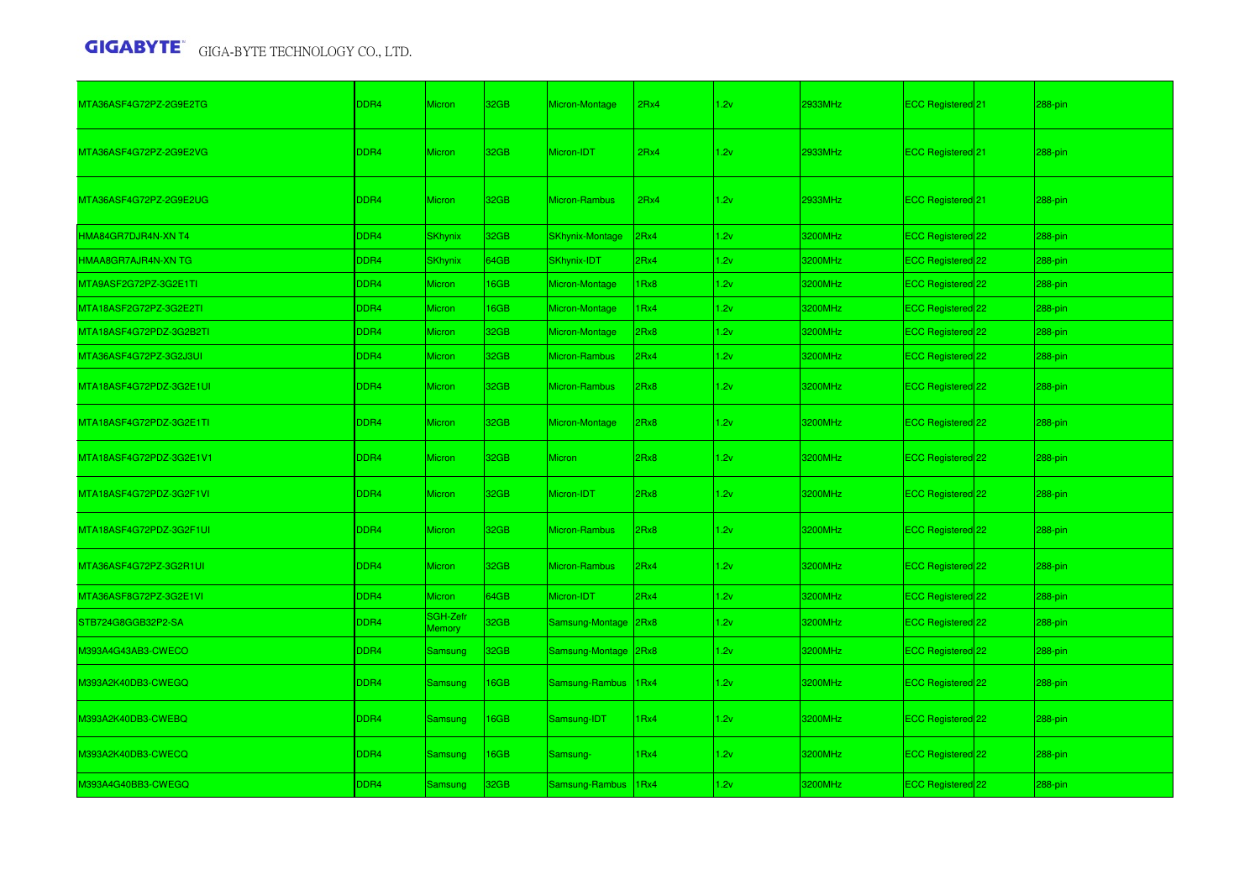| MTA36ASF4G72PZ-2G9E2TG  | DDR4 | Micron             | 32GB             | Micron-Montage         | 2Rx4 | 1.2v | 2933MHz | ECC Registered <sup>21</sup>   | 288-pin |
|-------------------------|------|--------------------|------------------|------------------------|------|------|---------|--------------------------------|---------|
| MTA36ASF4G72PZ-2G9E2VG  | DDR4 | Micron             | 32GB             | Micron-IDT             | 2Rx4 | 1.2v | 2933MHz | ECC Registered <sup>[21]</sup> | 288-pin |
| MTA36ASF4G72PZ-2G9E2UG  | DDR4 | Micron             | 32GB             | Micron-Rambus          | 2Rx4 | 1.2v | 2933MHz | ECC Registered 21              | 288-pin |
| HMA84GR7DJR4N-XN T4     | DDR4 | <b>SKhynix</b>     | 32GB             | <b>SKhynix-Montage</b> | 2Rx4 | 1.2v | 3200MHz | ECC Registered 22              | 288-pin |
| HMAA8GR7AJR4N-XN TG     | DDR4 | <b>SKhynix</b>     | 64GB             | SKhynix-IDT            | 2Rx4 | 1.2v | 3200MHz | ECC Registered 22              | 288-pin |
| MTA9ASF2G72PZ-3G2E1TI   | DDR4 | <b>Micron</b>      | 16GB             | Micron-Montage         | 1Rx8 | 1.2v | 3200MHz | ECC Registered 22              | 288-pin |
| MTA18ASF2G72PZ-3G2E2TI  | DDR4 | Micron             | 16GB             | Micron-Montage         | 1Rx4 | 1.2v | 3200MHz | ECC Registered 22              | 288-pin |
| MTA18ASF4G72PDZ-3G2B2TI | DDR4 | Micron             | 32GB             | Micron-Montage         | 2Rx8 | 1.2v | 3200MHz | ECC Registered 22              | 288-pin |
| MTA36ASF4G72PZ-3G2J3UI  | DDR4 | Micron             | 32GB             | Micron-Rambus          | 2Rx4 | 1.2v | 3200MHz | ECC Registered 22              | 288-pin |
| MTA18ASF4G72PDZ-3G2E1UI | DDR4 | Micron             | 32GB             | Micron-Rambus          | 2Rx8 | 1.2v | 3200MHz | ECC Registered 22              | 288-pin |
| MTA18ASF4G72PDZ-3G2E1TI | DDR4 | <b>Micron</b>      | 32GB             | Micron-Montage         | 2Rx8 | 1.2v | 3200MHz | ECC Registered 22              | 288-pin |
| MTA18ASF4G72PDZ-3G2E1V1 | DDR4 | <b>Micron</b>      | 32GB             | <b>Micron</b>          | 2Rx8 | 1.2v | 3200MHz | ECC Registered <sup>22</sup>   | 288-pin |
| MTA18ASF4G72PDZ-3G2F1VI | DDR4 | Micron             | 32GB             | Micron-IDT             | 2Rx8 | 1.2v | 3200MHz | ECC Registered <sup>22</sup>   | 288-pin |
| MTA18ASF4G72PDZ-3G2F1UI | DDR4 | Micron             | 32GB             | Micron-Rambus          | 2Rx8 | 1.2v | 3200MHz | ECC Registered <sup>22</sup>   | 288-pin |
| MTA36ASF4G72PZ-3G2R1UI  | DDR4 | Micron             | 32GB             | Micron-Rambus          | 2Rx4 | 1.2v | 3200MHz | ECC Registered 22              | 288-pin |
| MTA36ASF8G72PZ-3G2E1VI  | DDR4 | <b>Micron</b>      | 64GB             | Micron-IDT             | 2Rx4 | 1.2v | 3200MHz | ECC Registered 22              | 288-pin |
| STB724G8GGB32P2-SA      | DDR4 | SGH-Zefr<br>Memory | 32GB             | Samsung-Montage 2Rx8   |      | 1.2v | 3200MHz | ECC Registered 22              | 288-pin |
| M393A4G43AB3-CWECO      | DDR4 | Samsung            | 32 <sub>GB</sub> | Samsung-Montage 2Rx8   |      | 1.2v | 3200MHz | ECC Registered 22              | 288-pin |
| M393A2K40DB3-CWEGQ      | DDR4 | Samsung            | 16GB             | Samsung-Rambus         | 1Rx4 | 1.2v | 3200MHz | ECC Registered 22              | 288-pin |
| M393A2K40DB3-CWEBQ      | DDR4 | Samsung            | 16GB             | Samsung-IDT            | 1Rx4 | 1.2v | 3200MHz | ECC Registered 22              | 288-pin |
| M393A2K40DB3-CWECQ      | DDR4 | <b>Samsung</b>     | 16GB             | Samsung-               | 1Rx4 | 1.2v | 3200MHz | ECC Registered <sup>22</sup>   | 288-pin |
| M393A4G40BB3-CWEGQ      | DDR4 | <b>Samsung</b>     | 32GB             | Samsung-Rambus         | 1Rx4 | 1.2v | 3200MHz | ECC Registered 22              | 288-pin |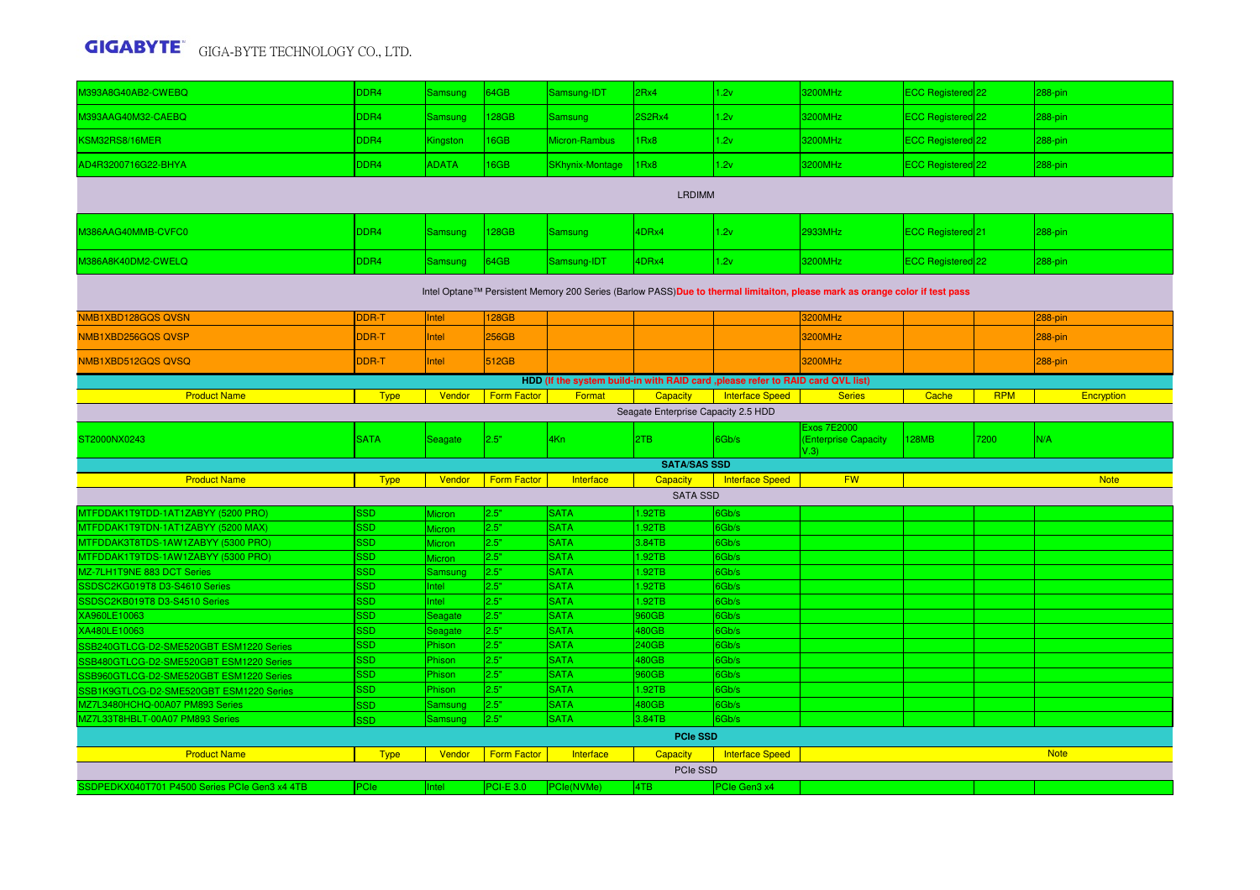| M393A8G40AB2-CWEBQ                                                                                                          | DDR4               | <b>Samsung</b>           | 64GB               | Samsung-IDT                | 2Rx4                | 1.2v                   | 3200MHz                                            | ECC Registered 22 |            | 288-pin     |  |  |
|-----------------------------------------------------------------------------------------------------------------------------|--------------------|--------------------------|--------------------|----------------------------|---------------------|------------------------|----------------------------------------------------|-------------------|------------|-------------|--|--|
| M393AAG40M32-CAEBQ                                                                                                          | DDR4               | Samsung                  | 128GB              | Samsung                    | 2S2Rx4              | 1.2v                   | 3200MHz                                            | ECC Registered 22 |            | 288-pin     |  |  |
| KSM32RS8/16MER                                                                                                              | DDR4               | Kingston                 | 16GB               | Micron-Rambus              | 1Rx8                | 1.2v                   | 3200MHz                                            | ECC Registered 22 |            | 288-pin     |  |  |
| AD4R3200716G22-BHYA                                                                                                         | DDR4               | <b>ADATA</b>             | 16GB               | <b>SKhynix-Montage</b>     | 1Rx8                | 1.2v                   | 3200MHz                                            | ECC Registered 22 |            | 288-pin     |  |  |
| <b>LRDIMM</b>                                                                                                               |                    |                          |                    |                            |                     |                        |                                                    |                   |            |             |  |  |
| M386AAG40MMB-CVFC0                                                                                                          | DDR4               | <b>Samsung</b>           | 128GB              | Samsung                    | 4DRx4               | 1.2v                   | 2933MHz                                            | ECC Registered 21 |            | 288-pin     |  |  |
| M386A8K40DM2-CWELQ                                                                                                          | DDR4               | <b>Samsung</b>           | 64GB               | Samsung-IDT                | 4DRx4               | 1.2v                   | 3200MHz                                            | ECC Registered 22 |            | 288-pin     |  |  |
| Intel Optane™ Persistent Memory 200 Series (Barlow PASS)Due to thermal limitaiton, please mark as orange color if test pass |                    |                          |                    |                            |                     |                        |                                                    |                   |            |             |  |  |
| NMB1XBD128GQS QVSN                                                                                                          | DDR-T              | Intel                    | <b>128GB</b>       |                            |                     |                        | <b>3200MHz</b>                                     |                   |            | 288-pin     |  |  |
| NMB1XBD256GQS QVSP                                                                                                          | DDR-T              | Intel                    | 256GB              |                            |                     |                        | 3200MHz                                            |                   |            | 288-pin     |  |  |
| NMB1XBD512GQS QVSQ                                                                                                          | DDR-T              | Intel                    | 512GB              |                            |                     |                        | 3200MHz                                            |                   |            | 288-pin     |  |  |
| HDD (If the system build-in with RAID card ,please refer to RAID card QVL list)                                             |                    |                          |                    |                            |                     |                        |                                                    |                   |            |             |  |  |
| <b>Product Name</b>                                                                                                         | <b>Type</b>        | Vendor                   | <b>Form Factor</b> | Format                     | Capacity            | <b>Interface Speed</b> | <b>Series</b>                                      | Cache             | <b>RPM</b> | Encryption  |  |  |
| Seagate Enterprise Capacity 2.5 HDD                                                                                         |                    |                          |                    |                            |                     |                        |                                                    |                   |            |             |  |  |
| ST2000NX0243                                                                                                                | <b>SATA</b>        | Seagate                  | 2.5"               | 4Kn                        | 2TB                 | 6Gb/s                  | <b>Exos 7E2000</b><br>(Enterprise Capacity<br>V.3) | <b>128MB</b>      | 7200       | N/A         |  |  |
|                                                                                                                             |                    |                          |                    |                            | <b>SATA/SAS SSD</b> |                        |                                                    |                   |            |             |  |  |
| <b>Product Name</b>                                                                                                         | <b>Type</b>        | Vendor                   | <b>Form Factor</b> | Interface                  | Capacity            | <b>Interface Speed</b> | <b>FW</b>                                          |                   |            | <b>Note</b> |  |  |
|                                                                                                                             |                    |                          |                    |                            | <b>SATA SSD</b>     |                        |                                                    |                   |            |             |  |  |
| MTFDDAK1T9TDD-1AT1ZABYY (5200 PRO)                                                                                          | 3SD                | <b>Aicron</b>            | 2.5"               | <b>SATA</b>                | 1.92TB              | 6Gb/s                  |                                                    |                   |            |             |  |  |
| MTFDDAK1T9TDN-1AT1ZABYY (5200 MAX)                                                                                          | <b>SSD</b>         | Micron                   | 2.5"               | <b>SATA</b>                | .92TB               | 6Gb/s                  |                                                    |                   |            |             |  |  |
| MTFDDAK3T8TDS-1AW1ZABYY (5300 PRO)                                                                                          | <b>SSD</b>         | Micron                   | 2.5"               | <b>SATA</b>                | 3.84TB              | 6Gb/s                  |                                                    |                   |            |             |  |  |
| MTFDDAK1T9TDS-1AW1ZABYY (5300 PRO)<br>MZ-7LH1T9NE 883 DCT Series                                                            | SSD.<br><b>SSD</b> | <b>Aicron</b><br>Samsung | 2.5"<br>2.5"       | <b>SATA</b><br><b>SATA</b> | .92TB<br>1.92TB     | 6Gb/s<br>6Gb/s         |                                                    |                   |            |             |  |  |
| SSDSC2KG019T8 D3-S4610 Series                                                                                               | <b>SSD</b>         | Intel                    | 2.5"               | <b>SATA</b>                | .92TB               | 6Gb/s                  |                                                    |                   |            |             |  |  |
| SSDSC2KB019T8 D3-S4510 Series                                                                                               | <b>SSD</b>         | Intel                    | 2.5"               | <b>SATA</b>                | 1.92TB              | 6Gb/s                  |                                                    |                   |            |             |  |  |
| XA960LE10063                                                                                                                | <b>SSD</b>         | Seagate                  | 2.5"               | <b>SATA</b>                | 960GB               | 6Gb/s                  |                                                    |                   |            |             |  |  |
| XA480LE10063                                                                                                                | <b>SSD</b>         | Seagate                  | 2.5"               | <b>SATA</b>                | 480GB               | 6Gb/s                  |                                                    |                   |            |             |  |  |
| SSB240GTLCG-D2-SME520GBT ESM1220 Series                                                                                     | <b>SSD</b>         | Phison                   | 2.5"               | <b>SATA</b>                | 240GB               | 6Gb/s                  |                                                    |                   |            |             |  |  |
| SSB480GTLCG-D2-SME520GBT ESM1220 Series                                                                                     | <b>SSD</b>         | Phison                   | 2.5"               | <b>SATA</b>                | 480GB               | 6Gb/s                  |                                                    |                   |            |             |  |  |
| SSB960GTLCG-D2-SME520GBT ESM1220 Series                                                                                     | <b>SSD</b>         | Phison                   | 2.5"               | <b>SATA</b>                | 960GB               | 6Gb/s                  |                                                    |                   |            |             |  |  |
| SSB1K9GTLCG-D2-SME520GBT ESM1220 Series                                                                                     | <b>SSD</b>         | Phison                   | 2.5"               | <b>SATA</b>                | 1.92TB              | 6Gb/s                  |                                                    |                   |            |             |  |  |
| MZ7L3480HCHQ-00A07 PM893 Series                                                                                             | <b>SSD</b>         | Samsung                  | 2.5"               | <b>SATA</b>                | 480GB               | 6Gb/s                  |                                                    |                   |            |             |  |  |
| MZ7L33T8HBLT-00A07 PM893 Series                                                                                             |                    |                          |                    |                            |                     |                        |                                                    |                   |            |             |  |  |
|                                                                                                                             | <b>SD</b>          | <mark>3amsung</mark>     | 2.5"               | <b>SATA</b>                | 3.84TB              | 6Gb/s                  |                                                    |                   |            |             |  |  |
|                                                                                                                             |                    |                          |                    |                            | <b>PCIe SSD</b>     |                        |                                                    |                   |            |             |  |  |
| <b>Product Name</b>                                                                                                         | <b>Type</b>        | Vendor                   | <b>Form Factor</b> | Interface                  | Capacity            | <b>Interface Speed</b> |                                                    |                   |            | <b>Note</b> |  |  |
|                                                                                                                             |                    |                          |                    |                            | PCIe SSD            |                        |                                                    |                   |            |             |  |  |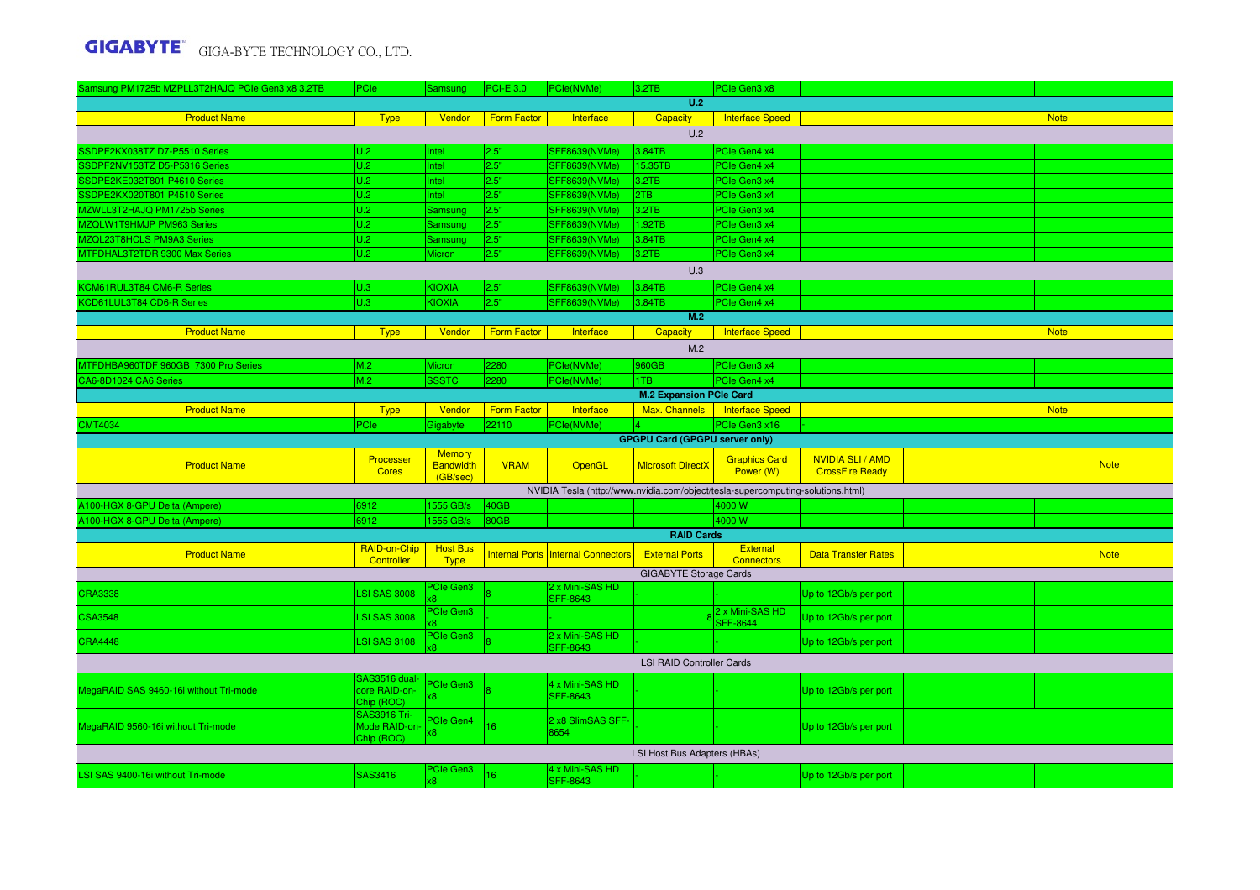| Samsung PM1725b MZPLL3T2HAJQ PCIe Gen3 x8 3.2TB | PCIe                        | Samsung          | <b>PCI-E 3.0</b>   | PCle(NVMe)                                                                      | 3.2TB                                 | PCIe Gen3 x8                       |                            |  |  |             |  |  |
|-------------------------------------------------|-----------------------------|------------------|--------------------|---------------------------------------------------------------------------------|---------------------------------------|------------------------------------|----------------------------|--|--|-------------|--|--|
|                                                 |                             |                  |                    |                                                                                 | U.2                                   |                                    |                            |  |  |             |  |  |
| <b>Product Name</b>                             | <b>Type</b>                 | Vendor           | Form Factor        | Interface                                                                       | <b>Capacity</b>                       | Interface Speed                    |                            |  |  | <b>Note</b> |  |  |
| U.2                                             |                             |                  |                    |                                                                                 |                                       |                                    |                            |  |  |             |  |  |
| SSDPF2KX038TZ D7-P5510 Series                   | U.2                         | Intel            | 2.5"               | SFF8639(NVMe)                                                                   | 3.84TB                                | PCIe Gen4 x4                       |                            |  |  |             |  |  |
| SSDPF2NV153TZ D5-P5316 Series                   | U.2                         | Intel            | 2.5"               | SFF8639(NVMe)                                                                   | 15.35TB                               | PCIe Gen4 x4                       |                            |  |  |             |  |  |
| SSDPE2KE032T801 P4610 Series                    | U.2                         | Intel            | 2.5"               | SFF8639(NVMe)                                                                   | 3.2TB                                 | PCIe Gen3 x4                       |                            |  |  |             |  |  |
| SSDPE2KX020T801 P4510 Series                    | U.2                         | Intel            | 2.5"               | SFF8639(NVMe)                                                                   | 2TB                                   | PCIe Gen3 x4                       |                            |  |  |             |  |  |
| MZWLL3T2HAJQ PM1725b Series                     | U.2                         | Samsung          | 2.5"               | SFF8639(NVMe)                                                                   | 3.2TB                                 | PCIe Gen3 x4                       |                            |  |  |             |  |  |
| MZQLW1T9HMJP PM963 Series                       | U.2                         | Samsung          | 2.5"               | SFF8639(NVMe)                                                                   | 1.92TB                                | PCIe Gen3 x4                       |                            |  |  |             |  |  |
| MZQL23T8HCLS PM9A3 Series                       | U.2                         | <b>Samsung</b>   | 2.5"               | SFF8639(NVMe)                                                                   | 3.84TB                                | PCIe Gen4 x4                       |                            |  |  |             |  |  |
| MTFDHAL3T2TDR 9300 Max Series                   | U.2                         | Micron           | 2.5"               | <b>SFF8639(NVMe)</b>                                                            | 3.2TB                                 | PCle Gen3 x4                       |                            |  |  |             |  |  |
| U.3                                             |                             |                  |                    |                                                                                 |                                       |                                    |                            |  |  |             |  |  |
| KCM61RUL3T84 CM6-R Series                       | U.3                         | <b>KIOXIA</b>    | 2.5"               | SFF8639(NVMe)                                                                   | 3.84TB                                | PCIe Gen4 x4                       |                            |  |  |             |  |  |
| KCD61LUL3T84 CD6-R Series                       | U.3                         | <b>KIOXIA</b>    | 2.5"               | SFF8639(NVMe)                                                                   | 3.84TB                                | PCIe Gen4 x4                       |                            |  |  |             |  |  |
|                                                 |                             |                  |                    |                                                                                 | M.2                                   |                                    |                            |  |  |             |  |  |
| <b>Product Name</b>                             | <b>Type</b>                 | Vendor           | <b>Form Factor</b> | Interface                                                                       | Capacity                              | <b>Interface Speed</b>             |                            |  |  | <b>Note</b> |  |  |
|                                                 |                             |                  |                    |                                                                                 | M.2                                   |                                    |                            |  |  |             |  |  |
| MTFDHBA960TDF 960GB 7300 Pro Series             | M.2                         | Micron           | 2280               | PCle(NVMe)                                                                      | 960GB                                 | PCIe Gen3 x4                       |                            |  |  |             |  |  |
| CA6-8D1024 CA6 Series                           | M.2                         | <b>SSSTC</b>     | 2280               | PCle(NVMe)                                                                      | 1TB                                   | PCIe Gen4 x4                       |                            |  |  |             |  |  |
| <b>M.2 Expansion PCle Card</b>                  |                             |                  |                    |                                                                                 |                                       |                                    |                            |  |  |             |  |  |
| <b>Product Name</b>                             | <b>Type</b>                 | Vendor           | <b>Form Factor</b> | Interface                                                                       | Max. Channels                         | <b>Interface Speed</b>             |                            |  |  | <b>Note</b> |  |  |
| <b>CMT4034</b>                                  | PCle                        | Gigabyte         | 22110              | PCle(NVMe)                                                                      |                                       | PCIe Gen3 x16                      |                            |  |  |             |  |  |
|                                                 |                             |                  |                    |                                                                                 | <b>GPGPU Card (GPGPU server only)</b> |                                    |                            |  |  |             |  |  |
|                                                 | Processer                   | <b>Memory</b>    |                    |                                                                                 |                                       | <b>Graphics Card</b>               | <b>NVIDIA SLI / AMD</b>    |  |  |             |  |  |
| <b>Product Name</b>                             | <b>Cores</b>                | <b>Bandwidth</b> | <b>VRAM</b>        | OpenGL                                                                          | <b>Microsoft DirectX</b>              | Power (W)                          | <b>CrossFire Ready</b>     |  |  | <b>Note</b> |  |  |
|                                                 |                             | (GB/sec)         |                    |                                                                                 |                                       |                                    |                            |  |  |             |  |  |
| A100-HGX 8-GPU Delta (Ampere)                   | 6912                        | 1555 GB/s        | 40GB               | NVIDIA Tesla (http://www.nvidia.com/object/tesla-supercomputing-solutions.html) |                                       | 4000 W                             |                            |  |  |             |  |  |
| A100-HGX 8-GPU Delta (Ampere)                   | 6912                        | 1555 GB/s        | 80GB               |                                                                                 |                                       | 4000 W                             |                            |  |  |             |  |  |
|                                                 |                             |                  |                    |                                                                                 | <b>RAID Cards</b>                     |                                    |                            |  |  |             |  |  |
|                                                 | RAID-on-Chip                | <b>Host Bus</b>  |                    |                                                                                 |                                       | <b>External</b>                    |                            |  |  |             |  |  |
| <b>Product Name</b>                             | Controller                  | <b>Type</b>      |                    | <b>Internal Ports Internal Connectors</b>                                       | <b>External Ports</b>                 | <b>Connectors</b>                  | <b>Data Transfer Rates</b> |  |  | <b>Note</b> |  |  |
|                                                 |                             |                  |                    |                                                                                 | <b>GIGABYTE Storage Cards</b>         |                                    |                            |  |  |             |  |  |
| <b>CRA3338</b>                                  | <b>LSI SAS 3008</b>         | <b>PCIe Gen3</b> |                    | 2 x Mini-SAS HD<br><b>SFF-8643</b>                                              |                                       |                                    | Up to 12Gb/s per port      |  |  |             |  |  |
| <b>CSA3548</b>                                  | <b>LSI SAS 3008</b>         | PCIe Gen3        |                    |                                                                                 |                                       | 2 x Mini-SAS HD<br><b>SFF-8644</b> | Up to 12Gb/s per port      |  |  |             |  |  |
| <b>CRA4448</b>                                  | <b>LSI SAS 3108</b>         | PCIe Gen3        |                    | 2 x Mini-SAS HD<br><b>SFF-8643</b>                                              |                                       |                                    | Up to 12Gb/s per port      |  |  |             |  |  |
|                                                 |                             |                  |                    |                                                                                 | <b>LSI RAID Controller Cards</b>      |                                    |                            |  |  |             |  |  |
|                                                 | SAS3516 dual-               | <b>Cle Gen3</b>  |                    | 1 x Mini-SAS HD                                                                 |                                       |                                    |                            |  |  |             |  |  |
| MegaRAID SAS 9460-16i without Tri-mode          | core RAID-on-               |                  |                    | SFF-8643                                                                        |                                       |                                    | Up to 12Gb/s per port      |  |  |             |  |  |
|                                                 | Chip (ROC)                  |                  |                    |                                                                                 |                                       |                                    |                            |  |  |             |  |  |
|                                                 | <b>SAS3916 Tri-</b>         | PCIe Gen4        |                    | 2 x8 SlimSAS SFF-                                                               |                                       |                                    |                            |  |  |             |  |  |
| MegaRAID 9560-16i without Tri-mode              | Mode RAID-on-<br>Chip (ROC) |                  | 16                 | 3654                                                                            |                                       |                                    | Up to 12Gb/s per port      |  |  |             |  |  |
|                                                 |                             |                  |                    |                                                                                 | LSI Host Bus Adapters (HBAs)          |                                    |                            |  |  |             |  |  |
| LSI SAS 9400-16i without Tri-mode               | SAS3416                     | PCIe Gen3        | 16                 | 4 x Mini-SAS HD<br><b>SFF-8643</b>                                              |                                       |                                    | Up to 12Gb/s per port      |  |  |             |  |  |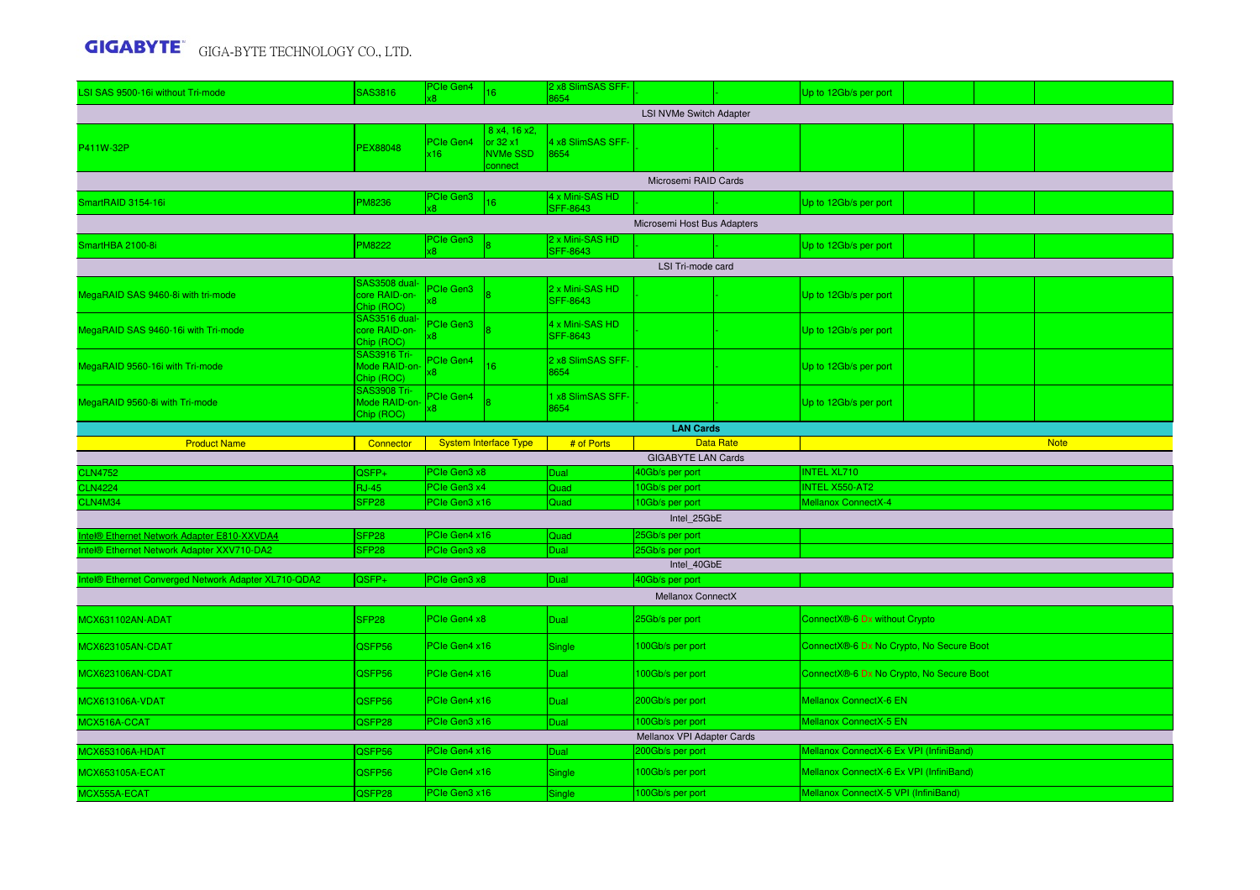| LSI SAS 9500-16i without Tri-mode                    | SAS3816                                      | PCIe Gen4        | 16 <sup>°</sup>                                                | 2 x8 SlimSAS SFF-<br>8654          |                                      |                  | Up to 12Gb/s per port                    |  |  |             |  |  |  |
|------------------------------------------------------|----------------------------------------------|------------------|----------------------------------------------------------------|------------------------------------|--------------------------------------|------------------|------------------------------------------|--|--|-------------|--|--|--|
| <b>LSI NVMe Switch Adapter</b>                       |                                              |                  |                                                                |                                    |                                      |                  |                                          |  |  |             |  |  |  |
| P411W-32P                                            | PEX88048                                     | PCIe Gen4<br>x16 | 8 x4, 16 x2,<br>or $32 \times 1$<br><b>NVMe SSD</b><br>connect | 4 x8 SlimSAS SFF-<br>8654          |                                      |                  |                                          |  |  |             |  |  |  |
|                                                      |                                              | PCIe Gen3        |                                                                | 4 x Mini-SAS HD                    | Microsemi RAID Cards                 |                  |                                          |  |  |             |  |  |  |
| SmartRAID 3154-16i                                   | PM8236                                       |                  | 16                                                             | <b>SFF-8643</b>                    |                                      |                  | Up to 12Gb/s per port                    |  |  |             |  |  |  |
|                                                      |                                              |                  |                                                                | Microsemi Host Bus Adapters        |                                      |                  |                                          |  |  |             |  |  |  |
| SmartHBA 2100-8i                                     | PM8222                                       | PCIe Gen3<br>x8. |                                                                | 2 x Mini-SAS HD<br><b>SFF-8643</b> |                                      |                  | Up to 12Gb/s per port                    |  |  |             |  |  |  |
| LSI Tri-mode card                                    |                                              |                  |                                                                |                                    |                                      |                  |                                          |  |  |             |  |  |  |
| MegaRAID SAS 9460-8i with tri-mode                   | SAS3508 dual<br>core RAID-on-<br>Chip (ROC)  | PCIe Gen3<br>x8  |                                                                | 2 x Mini-SAS HD<br><b>SFF-8643</b> |                                      |                  | Up to 12Gb/s per port                    |  |  |             |  |  |  |
| MegaRAID SAS 9460-16i with Tri-mode                  | SAS3516 dual-<br>core RAID-on-<br>Chip (ROC) | PCIe Gen3        |                                                                | 4 x Mini-SAS HD<br><b>SFF-8643</b> |                                      |                  | Up to 12Gb/s per port                    |  |  |             |  |  |  |
| MegaRAID 9560-16i with Tri-mode                      | SAS3916 Tri-<br>Mode RAID-on-<br>Chip (ROC)  | PCIe Gen4<br>х8. | 16                                                             | 2 x8 SlimSAS SFF-<br>8654          |                                      |                  | Up to 12Gb/s per port                    |  |  |             |  |  |  |
| MegaRAID 9560-8i with Tri-mode                       | SAS3908 Tri-<br>Mode RAID-on-<br>Chip (ROC)  | PCIe Gen4<br>8   |                                                                | 1 x8 SlimSAS SFF-<br>8654          |                                      |                  | Up to 12Gb/s per port                    |  |  |             |  |  |  |
|                                                      |                                              |                  |                                                                |                                    | <b>LAN Cards</b>                     |                  |                                          |  |  |             |  |  |  |
| <b>Product Name</b>                                  | Connector                                    |                  | <b>System Interface Type</b>                                   | # of Ports                         | <b>GIGABYTE LAN Cards</b>            | <b>Data Rate</b> |                                          |  |  | <b>Note</b> |  |  |  |
| <b>CLN4752</b>                                       | QSFP+                                        | PCIe Gen3 x8     |                                                                | Dual                               | 40Gb/s per port                      |                  | <b>INTEL XL710</b>                       |  |  |             |  |  |  |
| <b>CLN4224</b>                                       | <b>RJ-45</b>                                 | PCIe Gen3 x4     |                                                                | Quad                               | 10Gb/s per port                      |                  | INTEL X550-AT2<br>Mellanox ConnectX-4    |  |  |             |  |  |  |
| <b>CLN4M34</b>                                       | SFP <sub>28</sub>                            | PCIe Gen3 x16    |                                                                | Quad                               | 10Gb/s per port<br>Intel 25GbE       |                  |                                          |  |  |             |  |  |  |
| Intel® Ethernet Network Adapter E810-XXVDA4          | SFP <sub>28</sub>                            | PCle Gen4 x16    |                                                                | Quad                               | 25Gb/s per port                      |                  |                                          |  |  |             |  |  |  |
| Intel® Ethernet Network Adapter XXV710-DA2           | SFP <sub>28</sub>                            | PCIe Gen3 x8     |                                                                | Dual                               | 25Gb/s per port                      |                  |                                          |  |  |             |  |  |  |
|                                                      |                                              |                  |                                                                |                                    | Intel 40GbE                          |                  |                                          |  |  |             |  |  |  |
| Intel® Ethernet Converged Network Adapter XL710-QDA2 | QSFP+                                        | PCIe Gen3 x8     |                                                                | Dual                               | 40Gb/s per port<br>Mellanox ConnectX |                  |                                          |  |  |             |  |  |  |
| MCX631102AN-ADAT                                     | SFP <sub>28</sub>                            | PCle Gen4 x8     |                                                                | Dual                               | 25Gb/s per port                      |                  | ConnectX®-6 Dx without Crypto            |  |  |             |  |  |  |
| MCX623105AN-CDAT                                     | QSFP56                                       | PCIe Gen4 x16    |                                                                | Single                             | 100Gb/s per port                     |                  | ConnectX®-6 Dx No Crypto, No Secure Boot |  |  |             |  |  |  |
| MCX623106AN-CDAT                                     | QSFP56                                       | PCIe Gen4 x16    |                                                                | Dual                               | 100Gb/s per port                     |                  | ConnectX®-6 Dx No Crypto, No Secure Boot |  |  |             |  |  |  |
| <b>MCX613106A-VDAT</b>                               | QSFP56                                       | PCIe Gen4 x16    |                                                                | Dual                               | 200Gb/s per port                     |                  | Mellanox ConnectX-6 EN                   |  |  |             |  |  |  |
| MCX516A-CCAT                                         | QSFP28                                       | PCle Gen3 x16    |                                                                | <b>Dual</b>                        | 100Gb/s per port                     |                  | Mellanox ConnectX-5 EN                   |  |  |             |  |  |  |
|                                                      |                                              | PCIe Gen4 x16    |                                                                |                                    | Mellanox VPI Adapter Cards           |                  | Mellanox ConnectX-6 Ex VPI (InfiniBand)  |  |  |             |  |  |  |
| MCX653106A-HDAT<br><b>MCX653105A-ECAT</b>            | QSFP56<br>QSFP56                             | PCIe Gen4 x16    |                                                                | Dual<br>Single                     | 200Gb/s per port<br>100Gb/s per port |                  | Mellanox ConnectX-6 Ex VPI (InfiniBand)  |  |  |             |  |  |  |
| MCX555A-ECAT                                         | QSFP28                                       | PCIe Gen3 x16    |                                                                | Single                             | 100Gb/s per port                     |                  | Mellanox ConnectX-5 VPI (InfiniBand)     |  |  |             |  |  |  |